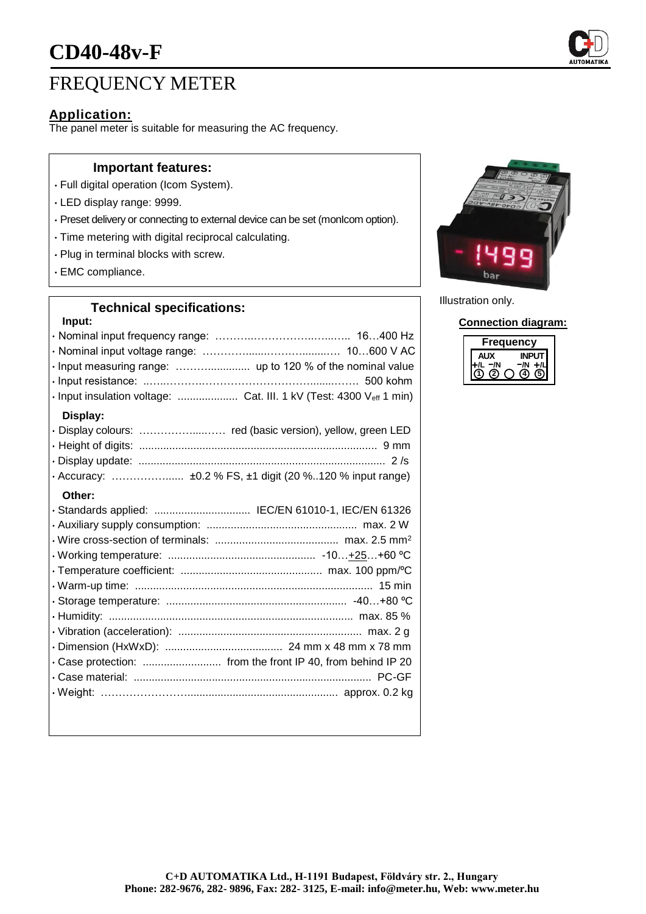

# FREQUENCY METER

## **Application:**

The panel meter is suitable for measuring the AC frequency.

### **Important features:**

- Full digital operation (Icom System).
- LED display range: 9999.
- Preset delivery or connecting to external device can be set (monIcom option).
- Time metering with digital reciprocal calculating.
- Plug in terminal blocks with screw.
- EMC compliance.

## **Technical specifications:**

| Input:                                                              |
|---------------------------------------------------------------------|
|                                                                     |
|                                                                     |
|                                                                     |
|                                                                     |
| · Input insulation voltage:  Cat. III. 1 kV (Test: 4300 Veff 1 min) |
| Display:                                                            |
| · Display colours:  red (basic version), yellow, green LED          |
|                                                                     |
|                                                                     |
| · Accuracy:  ±0.2 % FS, ±1 digit (20 %120 % input range)            |
| Other:                                                              |
| · Standards applied:  IEC/EN 61010-1, IEC/EN 61326                  |
|                                                                     |
|                                                                     |
|                                                                     |
|                                                                     |
|                                                                     |
|                                                                     |
|                                                                     |
|                                                                     |
|                                                                     |
|                                                                     |
|                                                                     |
|                                                                     |
|                                                                     |



Illustration only.

#### **Connection diagram:**